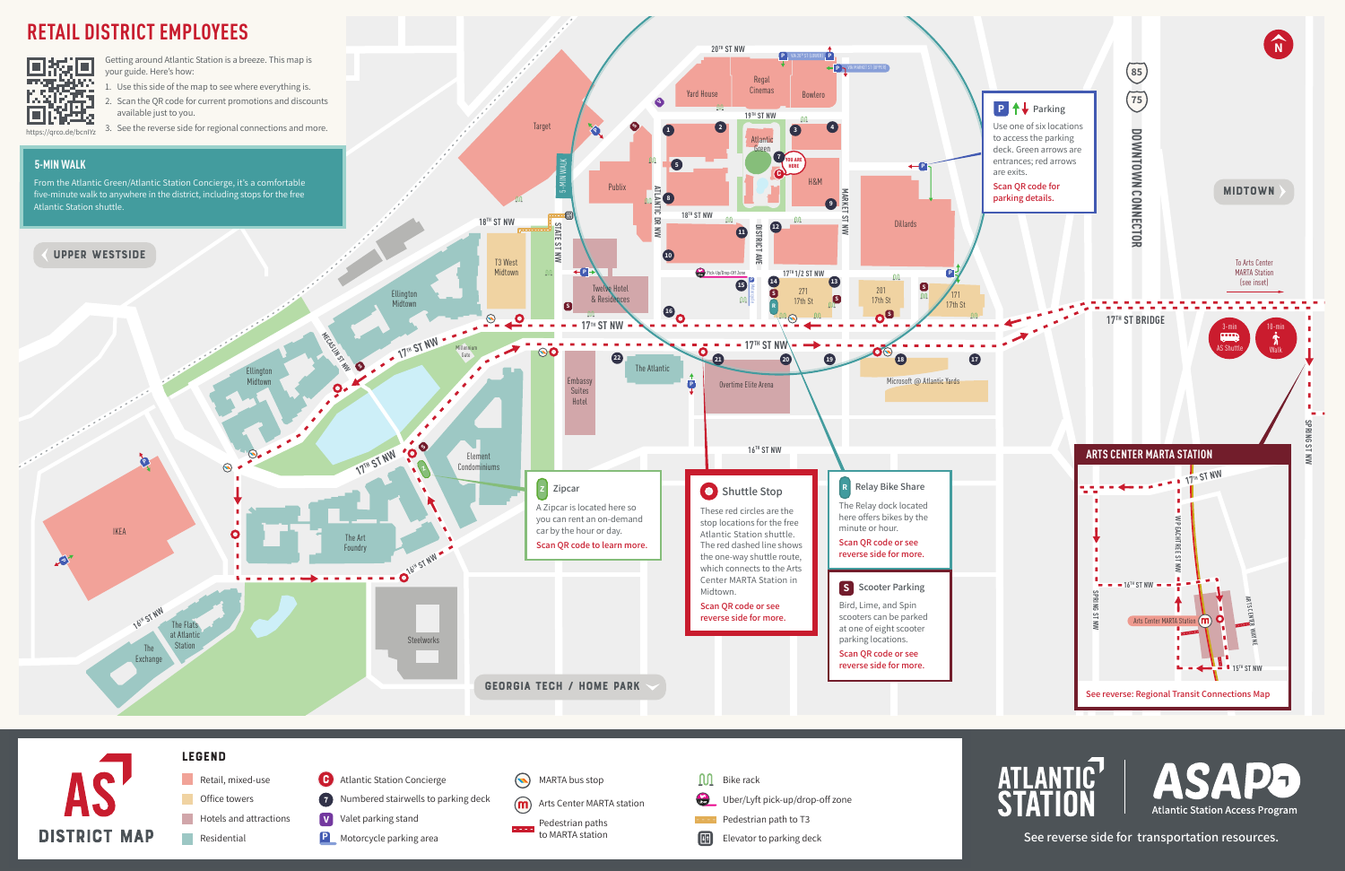



**ATLANTIC** ASADS **Atlantic Station Access Program**